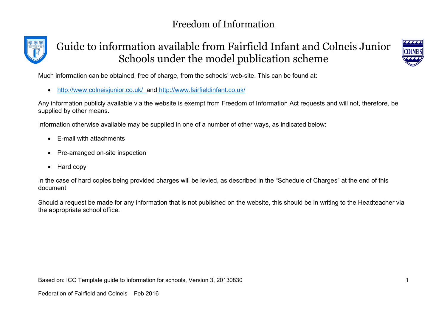



Much information can be obtained, free of charge, from the schools' web-site. This can be found at:

∑ <http://www.colneisjunior.co.uk/> and <http://www.fairfieldinfant.co.uk/>

Any information publicly available via the website is exempt from Freedom of Information Act requests and will not, therefore, be supplied by other means.

Information otherwise available may be supplied in one of a number of other ways, as indicated below:

- ∑ E-mail with attachments
- Pre-arranged on-site inspection
- ∑ Hard copy

In the case of hard copies being provided charges will be levied, as described in the "Schedule of Charges" at the end of this document

Should a request be made for any information that is not published on the website, this should be in writing to the Headteacher via the appropriate school office.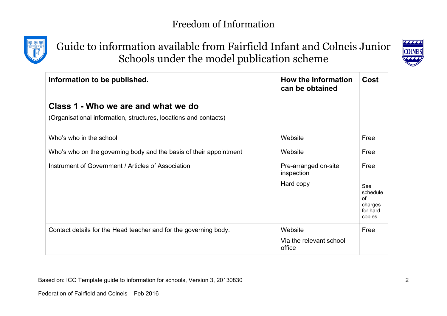

## Guide to information available from Fairfield Infant and Colneis Junior Schools under the model publication scheme



| Information to be published.                                                                            | How the information<br>can be obtained          | Cost                                                           |
|---------------------------------------------------------------------------------------------------------|-------------------------------------------------|----------------------------------------------------------------|
| Class 1 - Who we are and what we do<br>(Organisational information, structures, locations and contacts) |                                                 |                                                                |
| Who's who in the school                                                                                 | Website                                         | Free                                                           |
| Who's who on the governing body and the basis of their appointment                                      | Website                                         | Free                                                           |
| Instrument of Government / Articles of Association                                                      | Pre-arranged on-site<br>inspection<br>Hard copy | Free<br>See<br>schedule<br>of<br>charges<br>for hard<br>copies |
| Contact details for the Head teacher and for the governing body.                                        | Website<br>Via the relevant school<br>office    | Free                                                           |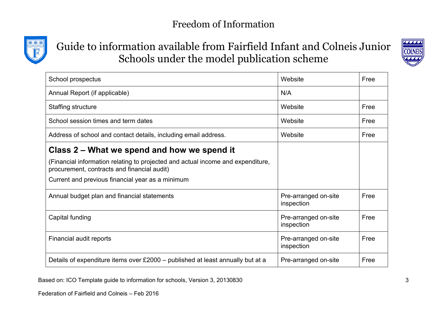



| School prospectus                                                                                                              | Website                            | Free |
|--------------------------------------------------------------------------------------------------------------------------------|------------------------------------|------|
| Annual Report (if applicable)                                                                                                  | N/A                                |      |
| Staffing structure                                                                                                             | Website                            | Free |
| School session times and term dates                                                                                            | Website                            | Free |
| Address of school and contact details, including email address.                                                                | Website                            | Free |
| Class 2 – What we spend and how we spend it                                                                                    |                                    |      |
| (Financial information relating to projected and actual income and expenditure,<br>procurement, contracts and financial audit) |                                    |      |
| Current and previous financial year as a minimum                                                                               |                                    |      |
| Annual budget plan and financial statements                                                                                    | Pre-arranged on-site<br>inspection | Free |
| Capital funding                                                                                                                | Pre-arranged on-site<br>inspection | Free |
| Financial audit reports                                                                                                        | Pre-arranged on-site<br>inspection | Free |
| Details of expenditure items over £2000 – published at least annually but at a                                                 | Pre-arranged on-site               | Free |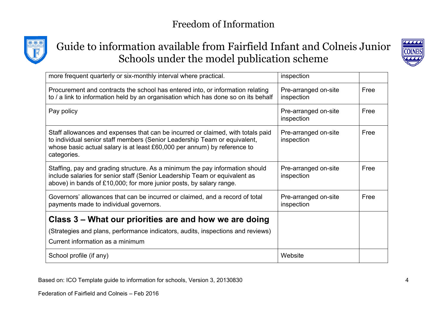



| more frequent quarterly or six-monthly interval where practical.                                                                                                                                                                                        | inspection                         |      |
|---------------------------------------------------------------------------------------------------------------------------------------------------------------------------------------------------------------------------------------------------------|------------------------------------|------|
| Procurement and contracts the school has entered into, or information relating<br>to / a link to information held by an organisation which has done so on its behalf                                                                                    | Pre-arranged on-site<br>inspection | Free |
| Pay policy                                                                                                                                                                                                                                              | Pre-arranged on-site<br>inspection | Free |
| Staff allowances and expenses that can be incurred or claimed, with totals paid<br>to individual senior staff members (Senior Leadership Team or equivalent,<br>whose basic actual salary is at least £60,000 per annum) by reference to<br>categories. | Pre-arranged on-site<br>inspection | Free |
| Staffing, pay and grading structure. As a minimum the pay information should<br>include salaries for senior staff (Senior Leadership Team or equivalent as<br>above) in bands of £10,000; for more junior posts, by salary range.                       | Pre-arranged on-site<br>inspection | Free |
| Governors' allowances that can be incurred or claimed, and a record of total<br>payments made to individual governors.                                                                                                                                  | Pre-arranged on-site<br>inspection | Free |
| Class 3 – What our priorities are and how we are doing                                                                                                                                                                                                  |                                    |      |
| (Strategies and plans, performance indicators, audits, inspections and reviews)                                                                                                                                                                         |                                    |      |
| Current information as a minimum                                                                                                                                                                                                                        |                                    |      |
| School profile (if any)                                                                                                                                                                                                                                 | Website                            |      |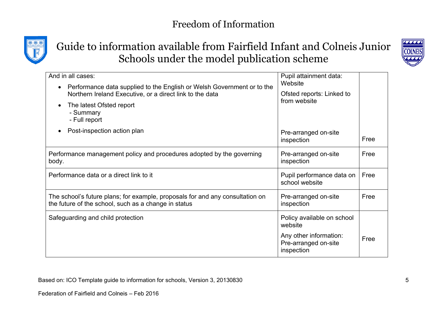

# Guide to information available from Fairfield Infant and Colneis Junior Schools under the model publication scheme



| And in all cases:                                                                                                                     | Pupil attainment data:                                       |      |
|---------------------------------------------------------------------------------------------------------------------------------------|--------------------------------------------------------------|------|
| Performance data supplied to the English or Welsh Government or to the                                                                | Website                                                      |      |
| Northern Ireland Executive, or a direct link to the data                                                                              | Ofsted reports: Linked to<br>from website                    |      |
| The latest Ofsted report<br>- Summary<br>- Full report                                                                                |                                                              |      |
| Post-inspection action plan                                                                                                           | Pre-arranged on-site<br>inspection                           | Free |
| Performance management policy and procedures adopted by the governing<br>body.                                                        | Pre-arranged on-site<br>inspection                           | Free |
| Performance data or a direct link to it                                                                                               | Pupil performance data on<br>school website                  | Free |
| The school's future plans; for example, proposals for and any consultation on<br>the future of the school, such as a change in status | Pre-arranged on-site<br>inspection                           | Free |
| Safeguarding and child protection                                                                                                     | Policy available on school<br>website                        |      |
|                                                                                                                                       | Any other information:<br>Pre-arranged on-site<br>inspection | Free |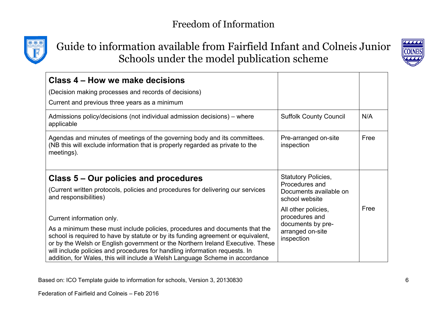



| Class 4 – How we make decisions                                                                                                                                                                                                                                                                                                                                                                                 |                                                            |      |
|-----------------------------------------------------------------------------------------------------------------------------------------------------------------------------------------------------------------------------------------------------------------------------------------------------------------------------------------------------------------------------------------------------------------|------------------------------------------------------------|------|
| (Decision making processes and records of decisions)                                                                                                                                                                                                                                                                                                                                                            |                                                            |      |
| Current and previous three years as a minimum                                                                                                                                                                                                                                                                                                                                                                   |                                                            |      |
| Admissions policy/decisions (not individual admission decisions) – where<br>applicable                                                                                                                                                                                                                                                                                                                          | <b>Suffolk County Council</b>                              | N/A  |
| Agendas and minutes of meetings of the governing body and its committees.<br>(NB this will exclude information that is properly regarded as private to the<br>meetings).                                                                                                                                                                                                                                        | Pre-arranged on-site<br>inspection                         | Free |
| Class 5 – Our policies and procedures                                                                                                                                                                                                                                                                                                                                                                           | <b>Statutory Policies,</b>                                 |      |
| (Current written protocols, policies and procedures for delivering our services<br>and responsibilities)                                                                                                                                                                                                                                                                                                        | Procedures and<br>Documents available on<br>school website |      |
| Current information only.                                                                                                                                                                                                                                                                                                                                                                                       | All other policies,<br>procedures and                      | Free |
| As a minimum these must include policies, procedures and documents that the<br>school is required to have by statute or by its funding agreement or equivalent,<br>or by the Welsh or English government or the Northern Ireland Executive. These<br>will include policies and procedures for handling information requests. In<br>addition, for Wales, this will include a Welsh Language Scheme in accordance | documents by pre-<br>arranged on-site<br>inspection        |      |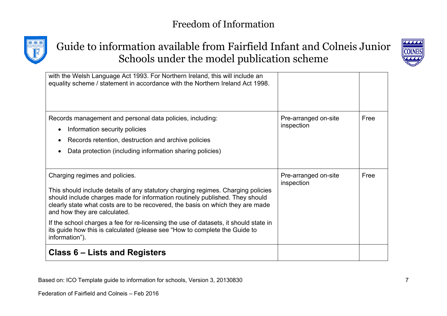



| should include charges made for information routinely published. They should<br>clearly state what costs are to be recovered, the basis on which they are made |                                    |      |
|----------------------------------------------------------------------------------------------------------------------------------------------------------------|------------------------------------|------|
|                                                                                                                                                                |                                    |      |
| Charging regimes and policies.<br>This should include details of any statutory charging regimes. Charging policies                                             | Pre-arranged on-site<br>inspection | Free |
| Data protection (including information sharing policies)<br>$\bullet$                                                                                          |                                    |      |
|                                                                                                                                                                |                                    |      |
| Records retention, destruction and archive policies<br>$\bullet$                                                                                               |                                    |      |
| Information security policies<br>$\bullet$                                                                                                                     | inspection                         |      |
| Records management and personal data policies, including:                                                                                                      | Pre-arranged on-site               | Free |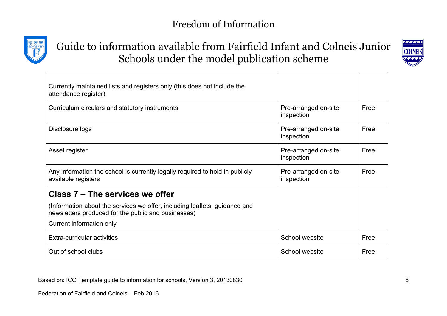

# Guide to information available from Fairfield Infant and Colneis Junior Schools under the model publication scheme



| Currently maintained lists and registers only (this does not include the<br>attendance register).                                 |                                    |      |
|-----------------------------------------------------------------------------------------------------------------------------------|------------------------------------|------|
| Curriculum circulars and statutory instruments                                                                                    | Pre-arranged on-site<br>inspection | Free |
| Disclosure logs                                                                                                                   | Pre-arranged on-site<br>inspection | Free |
| Asset register                                                                                                                    | Pre-arranged on-site<br>inspection | Free |
| Any information the school is currently legally required to hold in publicly<br>available registers                               | Pre-arranged on-site<br>inspection | Free |
| Class 7 – The services we offer                                                                                                   |                                    |      |
| (Information about the services we offer, including leaflets, guidance and<br>newsletters produced for the public and businesses) |                                    |      |
| Current information only                                                                                                          |                                    |      |
| Extra-curricular activities                                                                                                       | School website                     | Free |
| Out of school clubs                                                                                                               | School website                     | Free |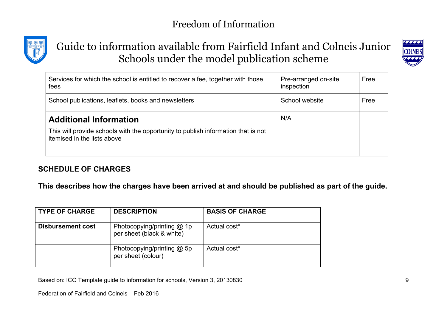



| Services for which the school is entitled to recover a fee, together with those<br>fees                          | Pre-arranged on-site<br>inspection | Free |
|------------------------------------------------------------------------------------------------------------------|------------------------------------|------|
| School publications, leaflets, books and newsletters                                                             | School website                     | Free |
| <b>Additional Information</b>                                                                                    | N/A                                |      |
| This will provide schools with the opportunity to publish information that is not<br>itemised in the lists above |                                    |      |

#### **SCHEDULE OF CHARGES**

**This describes how the charges have been arrived at and should be published as part of the guide.**

| <b>TYPE OF CHARGE</b>    | <b>DESCRIPTION</b>                                      | <b>BASIS OF CHARGE</b> |
|--------------------------|---------------------------------------------------------|------------------------|
| <b>Disbursement cost</b> | Photocopying/printing @ 1p<br>per sheet (black & white) | Actual cost*           |
|                          | Photocopying/printing $@$ 5p<br>per sheet (colour)      | Actual cost*           |